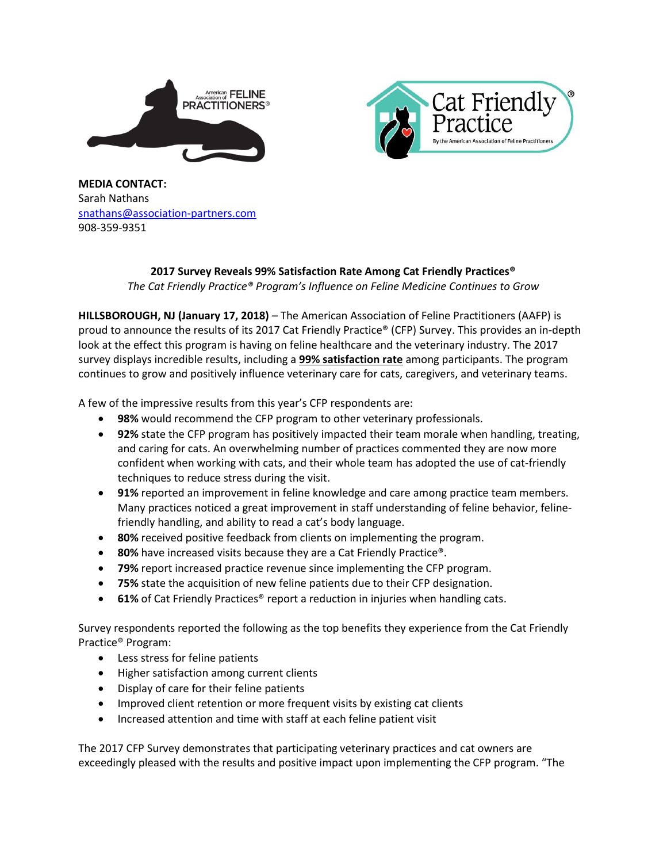



**MEDIA CONTACT:**  Sarah Nathans [snathans@association-partners.com](mailto:snathans@association-partners.com) 908-359-9351

## **2017 Survey Reveals 99% Satisfaction Rate Among Cat Friendly Practices®** *The Cat Friendly Practice® Program's Influence on Feline Medicine Continues to Grow*

**HILLSBOROUGH, NJ (January 17, 2018)** – The American Association of Feline Practitioners (AAFP) is proud to announce the results of its 2017 Cat Friendly Practice® (CFP) Survey. This provides an in-depth look at the effect this program is having on feline healthcare and the veterinary industry. The 2017 survey displays incredible results, including a **99% satisfaction rate** among participants. The program continues to grow and positively influence veterinary care for cats, caregivers, and veterinary teams.

A few of the impressive results from this year's CFP respondents are:

- **98%** would recommend the CFP program to other veterinary professionals.
- **92%** state the CFP program has positively impacted their team morale when handling, treating, and caring for cats. An overwhelming number of practices commented they are now more confident when working with cats, and their whole team has adopted the use of cat-friendly techniques to reduce stress during the visit.
- **91%** reported an improvement in feline knowledge and care among practice team members. Many practices noticed a great improvement in staff understanding of feline behavior, felinefriendly handling, and ability to read a cat's body language.
- **80%** received positive feedback from clients on implementing the program.
- 80% have increased visits because they are a Cat Friendly Practice<sup>®</sup>.
- **79%** report increased practice revenue since implementing the CFP program.
- **75%** state the acquisition of new feline patients due to their CFP designation.
- **61%** of Cat Friendly Practices<sup>®</sup> report a reduction in injuries when handling cats.

Survey respondents reported the following as the top benefits they experience from the Cat Friendly Practice® Program:

- Less stress for feline patients
- Higher satisfaction among current clients
- Display of care for their feline patients
- Improved client retention or more frequent visits by existing cat clients
- Increased attention and time with staff at each feline patient visit

The 2017 CFP Survey demonstrates that participating veterinary practices and cat owners are exceedingly pleased with the results and positive impact upon implementing the CFP program. "The